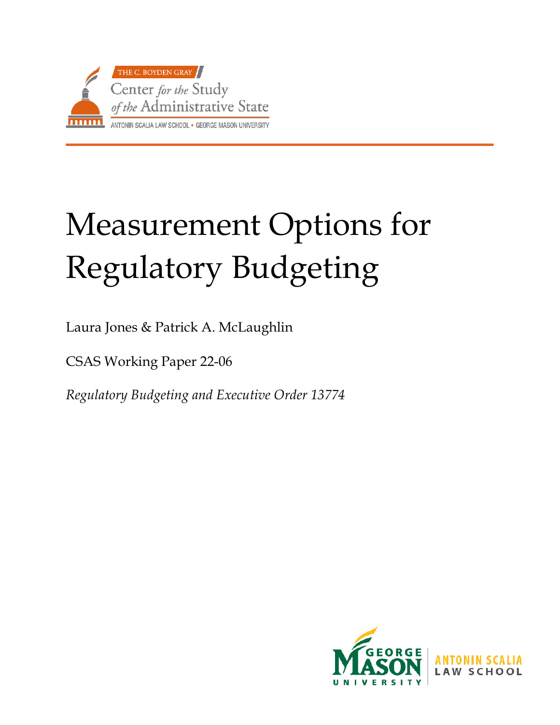

# Measurement Options for Regulatory Budgeting

Laura Jones & Patrick A. McLaughlin

CSAS Working Paper 22-06

*Regulatory Budgeting and Executive Order 13774*

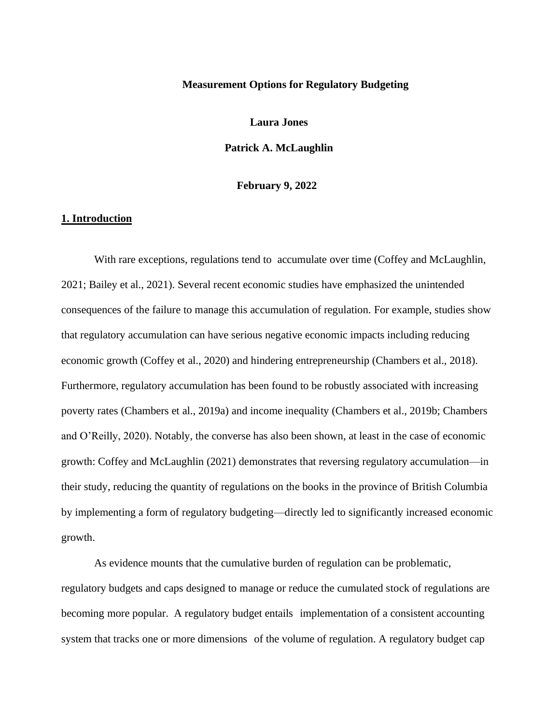#### **Measurement Options for Regulatory Budgeting**

**Laura Jones**

**Patrick A. McLaughlin**

 **February 9, 2022**

# **1. Introduction**

With rare exceptions, regulations tend to accumulate over time (Coffey and McLaughlin, 2021; Bailey et al., 2021). Several recent economic studies have emphasized the unintended consequences of the failure to manage this accumulation of regulation. For example, studies show that regulatory accumulation can have serious negative economic impacts including reducing economic growth (Coffey et al., 2020) and hindering entrepreneurship (Chambers et al., 2018). Furthermore, regulatory accumulation has been found to be robustly associated with increasing poverty rates (Chambers et al., 2019a) and income inequality (Chambers et al., 2019b; Chambers and O'Reilly, 2020). Notably, the converse has also been shown, at least in the case of economic growth: Coffey and McLaughlin (2021) demonstrates that reversing regulatory accumulation—in their study, reducing the quantity of regulations on the books in the province of British Columbia by implementing a form of regulatory budgeting—directly led to significantly increased economic growth.

As evidence mounts that the cumulative burden of regulation can be problematic, regulatory budgets and caps designed to manage or reduce the cumulated stock of regulations are becoming more popular. A regulatory budget entails implementation of a consistent accounting system that tracks one or more dimensions of the volume of regulation. A regulatory budget cap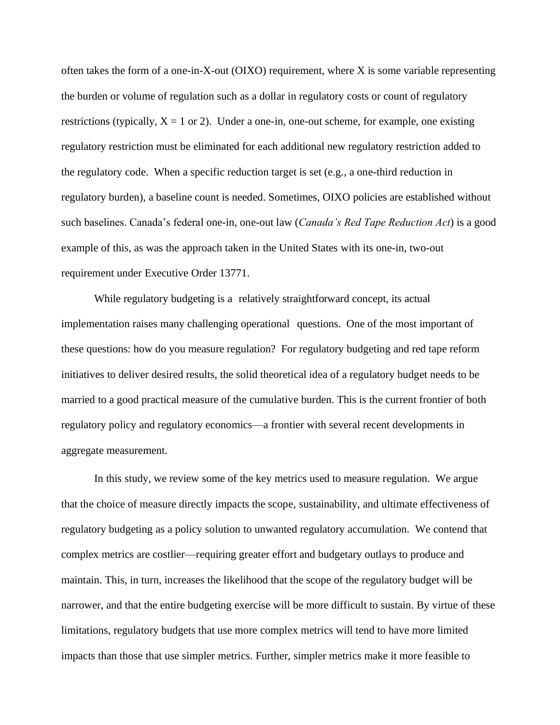often takes the form of a one-in-X-out (OIXO) requirement, where X is some variable representing the burden or volume of regulation such as a dollar in regulatory costs or count of regulatory restrictions (typically,  $X = 1$  or 2). Under a one-in, one-out scheme, for example, one existing regulatory restriction must be eliminated for each additional new regulatory restriction added to the regulatory code. When a specific reduction target is set (e.g., a one-third reduction in regulatory burden), a baseline count is needed. Sometimes, OIXO policies are established without such baselines. Canada's federal one-in, one-out law (*Canada's Red Tape Reduction Act*) is a good example of this, as was the approach taken in the United States with its one-in, two-out requirement under Executive Order 13771.

While regulatory budgeting is a relatively straightforward concept, its actual implementation raises many challenging operational questions. One of the most important of these questions: how do you measure regulation? For regulatory budgeting and red tape reform initiatives to deliver desired results, the solid theoretical idea of a regulatory budget needs to be married to a good practical measure of the cumulative burden. This is the current frontier of both regulatory policy and regulatory economics—a frontier with several recent developments in aggregate measurement.

In this study, we review some of the key metrics used to measure regulation. We argue that the choice of measure directly impacts the scope, sustainability, and ultimate effectiveness of regulatory budgeting as a policy solution to unwanted regulatory accumulation. We contend that complex metrics are costlier—requiring greater effort and budgetary outlays to produce and maintain. This, in turn, increases the likelihood that the scope of the regulatory budget will be narrower, and that the entire budgeting exercise will be more difficult to sustain. By virtue of these limitations, regulatory budgets that use more complex metrics will tend to have more limited impacts than those that use simpler metrics. Further, simpler metrics make it more feasible to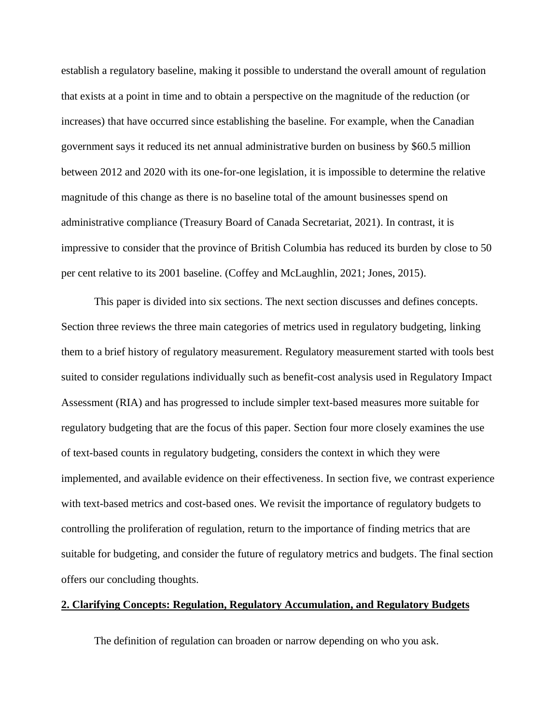establish a regulatory baseline, making it possible to understand the overall amount of regulation that exists at a point in time and to obtain a perspective on the magnitude of the reduction (or increases) that have occurred since establishing the baseline. For example, when the Canadian government says it reduced its net annual administrative burden on business by \$60.5 million between 2012 and 2020 with its one-for-one legislation, it is impossible to determine the relative magnitude of this change as there is no baseline total of the amount businesses spend on administrative compliance (Treasury Board of Canada Secretariat, 2021). In contrast, it is impressive to consider that the province of British Columbia has reduced its burden by close to 50 per cent relative to its 2001 baseline. (Coffey and McLaughlin, 2021; Jones, 2015).

This paper is divided into six sections. The next section discusses and defines concepts. Section three reviews the three main categories of metrics used in regulatory budgeting, linking them to a brief history of regulatory measurement. Regulatory measurement started with tools best suited to consider regulations individually such as benefit-cost analysis used in Regulatory Impact Assessment (RIA) and has progressed to include simpler text-based measures more suitable for regulatory budgeting that are the focus of this paper. Section four more closely examines the use of text-based counts in regulatory budgeting, considers the context in which they were implemented, and available evidence on their effectiveness. In section five, we contrast experience with text-based metrics and cost-based ones. We revisit the importance of regulatory budgets to controlling the proliferation of regulation, return to the importance of finding metrics that are suitable for budgeting, and consider the future of regulatory metrics and budgets. The final section offers our concluding thoughts.

## **2. Clarifying Concepts: Regulation, Regulatory Accumulation, and Regulatory Budgets**

The definition of regulation can broaden or narrow depending on who you ask.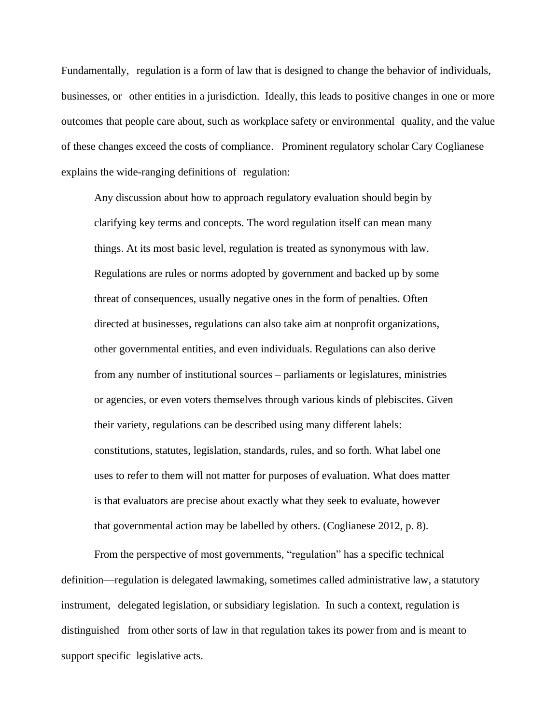Fundamentally, regulation is a form of law that is designed to change the behavior of individuals, businesses, or other entities in a jurisdiction. Ideally, this leads to positive changes in one or more outcomes that people care about, such as workplace safety or environmental quality, and the value of these changes exceed the costs of compliance. Prominent regulatory scholar Cary Coglianese explains the wide-ranging definitions of regulation:

Any discussion about how to approach regulatory evaluation should begin by clarifying key terms and concepts. The word regulation itself can mean many things. At its most basic level, regulation is treated as synonymous with law. Regulations are rules or norms adopted by government and backed up by some threat of consequences, usually negative ones in the form of penalties. Often directed at businesses, regulations can also take aim at nonprofit organizations, other governmental entities, and even individuals. Regulations can also derive from any number of institutional sources – parliaments or legislatures, ministries or agencies, or even voters themselves through various kinds of plebiscites. Given their variety, regulations can be described using many different labels: constitutions, statutes, legislation, standards, rules, and so forth. What label one uses to refer to them will not matter for purposes of evaluation. What does matter is that evaluators are precise about exactly what they seek to evaluate, however that governmental action may be labelled by others. (Coglianese 2012, p. 8).

From the perspective of most governments, "regulation" has a specific technical definition—regulation is delegated lawmaking, sometimes called administrative law, a statutory instrument, delegated legislation, or subsidiary legislation. In such a context, regulation is distinguished from other sorts of law in that regulation takes its power from and is meant to support specific legislative acts.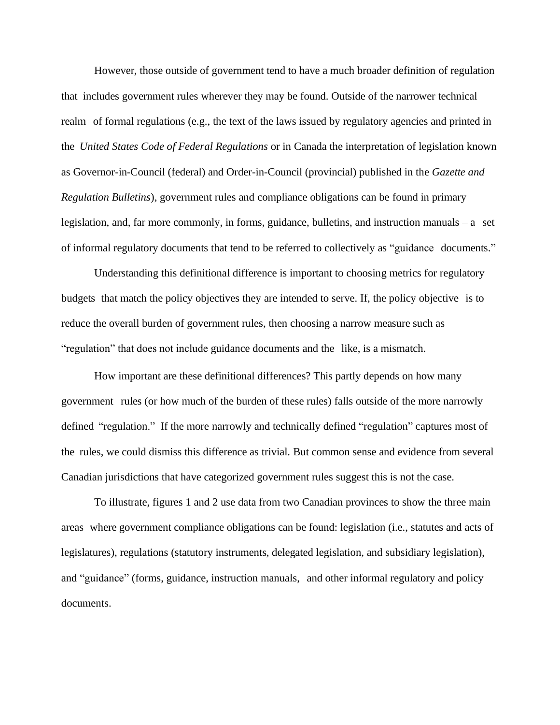However, those outside of government tend to have a much broader definition of regulation that includes government rules wherever they may be found. Outside of the narrower technical realm of formal regulations (e.g., the text of the laws issued by regulatory agencies and printed in the *United States Code of Federal Regulations* or in Canada the interpretation of legislation known as Governor-in-Council (federal) and Order-in-Council (provincial) published in the *Gazette and Regulation Bulletins*), government rules and compliance obligations can be found in primary legislation, and, far more commonly, in forms, guidance, bulletins, and instruction manuals – a set of informal regulatory documents that tend to be referred to collectively as "guidance documents."

Understanding this definitional difference is important to choosing metrics for regulatory budgets that match the policy objectives they are intended to serve. If, the policy objective is to reduce the overall burden of government rules, then choosing a narrow measure such as "regulation" that does not include guidance documents and the like, is a mismatch.

How important are these definitional differences? This partly depends on how many government rules (or how much of the burden of these rules) falls outside of the more narrowly defined "regulation." If the more narrowly and technically defined "regulation" captures most of the rules, we could dismiss this difference as trivial. But common sense and evidence from several Canadian jurisdictions that have categorized government rules suggest this is not the case.

To illustrate, figures 1 and 2 use data from two Canadian provinces to show the three main areas where government compliance obligations can be found: legislation (i.e., statutes and acts of legislatures), regulations (statutory instruments, delegated legislation, and subsidiary legislation), and "guidance" (forms, guidance, instruction manuals, and other informal regulatory and policy documents.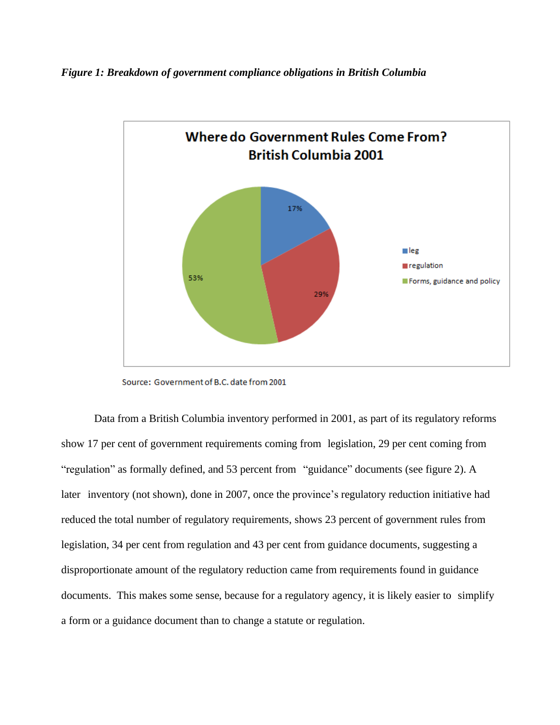*Figure 1: Breakdown of government compliance obligations in British Columbia*



Source: Government of B.C. date from 2001

Data from a British Columbia inventory performed in 2001, as part of its regulatory reforms show 17 per cent of government requirements coming from legislation, 29 per cent coming from "regulation" as formally defined, and 53 percent from "guidance" documents (see figure 2). A later inventory (not shown), done in 2007, once the province's regulatory reduction initiative had reduced the total number of regulatory requirements, shows 23 percent of government rules from legislation, 34 per cent from regulation and 43 per cent from guidance documents, suggesting a disproportionate amount of the regulatory reduction came from requirements found in guidance documents. This makes some sense, because for a regulatory agency, it is likely easier to simplify a form or a guidance document than to change a statute or regulation.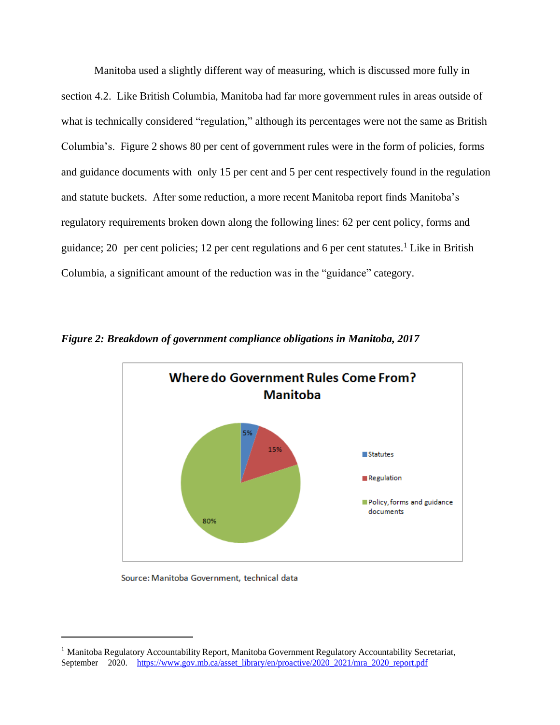Manitoba used a slightly different way of measuring, which is discussed more fully in section 4.2. Like British Columbia, Manitoba had far more government rules in areas outside of what is technically considered "regulation," although its percentages were not the same as British Columbia's. Figure 2 shows 80 per cent of government rules were in the form of policies, forms and guidance documents with only 15 per cent and 5 per cent respectively found in the regulation and statute buckets. After some reduction, a more recent Manitoba report finds Manitoba's regulatory requirements broken down along the following lines: 62 per cent policy, forms and guidance; 20 per cent policies; 12 per cent regulations and 6 per cent statutes.<sup>1</sup> Like in British Columbia, a significant amount of the reduction was in the "guidance" category.



*Figure 2: Breakdown of government compliance obligations in Manitoba, 2017*

Source: Manitoba Government, technical data

<sup>&</sup>lt;sup>1</sup> Manitoba Regulatory Accountability Report, Manitoba Government Regulatory Accountability Secretariat, September 2020. [https://www.gov.mb.ca/asset\\_library/en/proactive/2020\\_2021/mra\\_2020\\_report.pdf](https://www.gov.mb.ca/asset_library/en/proactive/2020_2021/mra_2020_report.pdf)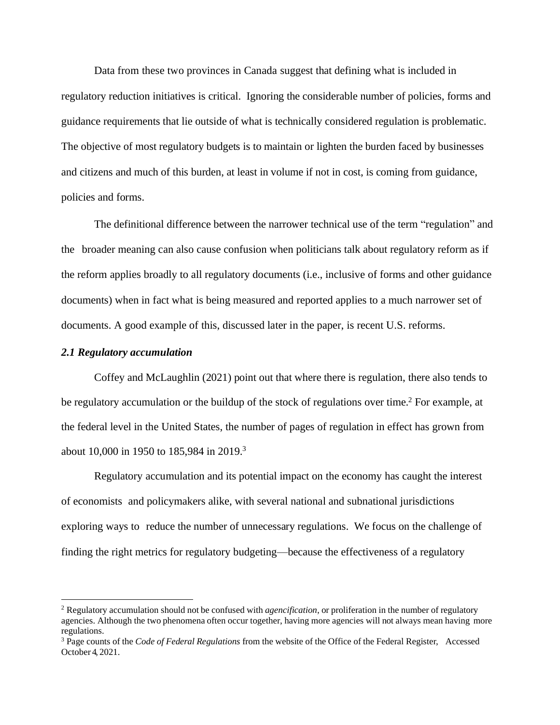Data from these two provinces in Canada suggest that defining what is included in regulatory reduction initiatives is critical. Ignoring the considerable number of policies, forms and guidance requirements that lie outside of what is technically considered regulation is problematic. The objective of most regulatory budgets is to maintain or lighten the burden faced by businesses and citizens and much of this burden, at least in volume if not in cost, is coming from guidance, policies and forms.

The definitional difference between the narrower technical use of the term "regulation" and the broader meaning can also cause confusion when politicians talk about regulatory reform as if the reform applies broadly to all regulatory documents (i.e., inclusive of forms and other guidance documents) when in fact what is being measured and reported applies to a much narrower set of documents. A good example of this, discussed later in the paper, is recent U.S. reforms.

# *2.1 Regulatory accumulation*

Coffey and McLaughlin (2021) point out that where there is regulation, there also tends to be regulatory accumulation or the buildup of the stock of regulations over time.<sup>2</sup> For example, at the federal level in the United States, the number of pages of regulation in effect has grown from about 10,000 in 1950 to 185,984 in 2019.<sup>3</sup>

Regulatory accumulation and its potential impact on the economy has caught the interest of economists and policymakers alike, with several national and subnational jurisdictions exploring ways to reduce the number of unnecessary regulations. We focus on the challenge of finding the right metrics for regulatory budgeting—because the effectiveness of a regulatory

<sup>2</sup> Regulatory accumulation should not be confused with *agencification*, or proliferation in the number of regulatory agencies. Although the two phenomena often occur together, having more agencies will not always mean having more regulations.

<sup>3</sup> Page counts of the *Code of Federal Regulations* from the website of the Office of the Federal Register, Accessed October 4, 2021.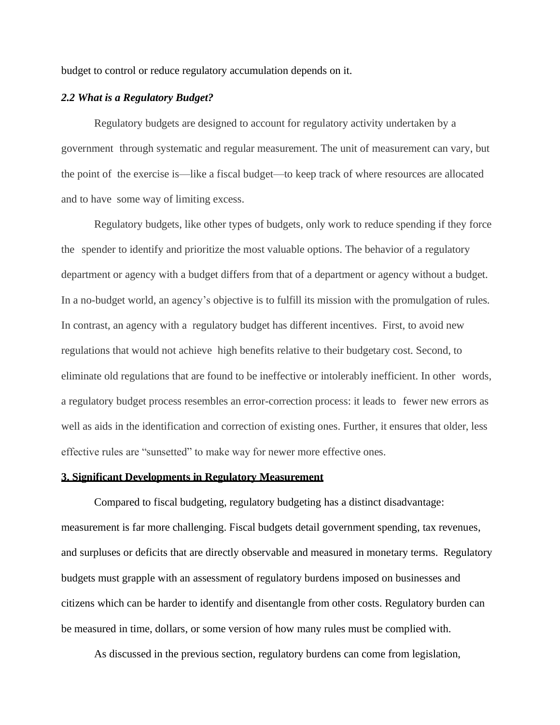budget to control or reduce regulatory accumulation depends on it.

## *2.2 What is a Regulatory Budget?*

Regulatory budgets are designed to account for regulatory activity undertaken by a government through systematic and regular measurement. The unit of measurement can vary, but the point of the exercise is—like a fiscal budget—to keep track of where resources are allocated and to have some way of limiting excess.

Regulatory budgets, like other types of budgets, only work to reduce spending if they force the spender to identify and prioritize the most valuable options. The behavior of a regulatory department or agency with a budget differs from that of a department or agency without a budget. In a no-budget world, an agency's objective is to fulfill its mission with the promulgation of rules. In contrast, an agency with a regulatory budget has different incentives. First, to avoid new regulations that would not achieve high benefits relative to their budgetary cost. Second, to eliminate old regulations that are found to be ineffective or intolerably inefficient. In other words, a regulatory budget process resembles an error-correction process: it leads to fewer new errors as well as aids in the identification and correction of existing ones. Further, it ensures that older, less effective rules are "sunsetted" to make way for newer more effective ones.

#### **3. Significant Developments in Regulatory Measurement**

Compared to fiscal budgeting, regulatory budgeting has a distinct disadvantage: measurement is far more challenging. Fiscal budgets detail government spending, tax revenues, and surpluses or deficits that are directly observable and measured in monetary terms. Regulatory budgets must grapple with an assessment of regulatory burdens imposed on businesses and citizens which can be harder to identify and disentangle from other costs. Regulatory burden can be measured in time, dollars, or some version of how many rules must be complied with.

As discussed in the previous section, regulatory burdens can come from legislation,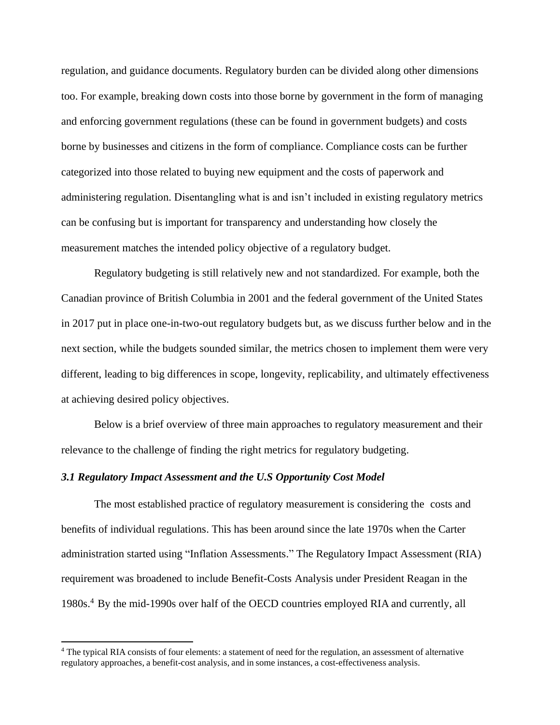regulation, and guidance documents. Regulatory burden can be divided along other dimensions too. For example, breaking down costs into those borne by government in the form of managing and enforcing government regulations (these can be found in government budgets) and costs borne by businesses and citizens in the form of compliance. Compliance costs can be further categorized into those related to buying new equipment and the costs of paperwork and administering regulation. Disentangling what is and isn't included in existing regulatory metrics can be confusing but is important for transparency and understanding how closely the measurement matches the intended policy objective of a regulatory budget.

Regulatory budgeting is still relatively new and not standardized. For example, both the Canadian province of British Columbia in 2001 and the federal government of the United States in 2017 put in place one-in-two-out regulatory budgets but, as we discuss further below and in the next section, while the budgets sounded similar, the metrics chosen to implement them were very different, leading to big differences in scope, longevity, replicability, and ultimately effectiveness at achieving desired policy objectives.

Below is a brief overview of three main approaches to regulatory measurement and their relevance to the challenge of finding the right metrics for regulatory budgeting.

# *3.1 Regulatory Impact Assessment and the U.S Opportunity Cost Model*

The most established practice of regulatory measurement is considering the costs and benefits of individual regulations. This has been around since the late 1970s when the Carter administration started using "Inflation Assessments." The Regulatory Impact Assessment (RIA) requirement was broadened to include Benefit-Costs Analysis under President Reagan in the 1980s.<sup>4</sup> By the mid-1990s over half of the OECD countries employed RIA and currently, all

<sup>&</sup>lt;sup>4</sup> The typical RIA consists of four elements: a statement of need for the regulation, an assessment of alternative regulatory approaches, a benefit-cost analysis, and in some instances, a cost-effectiveness analysis.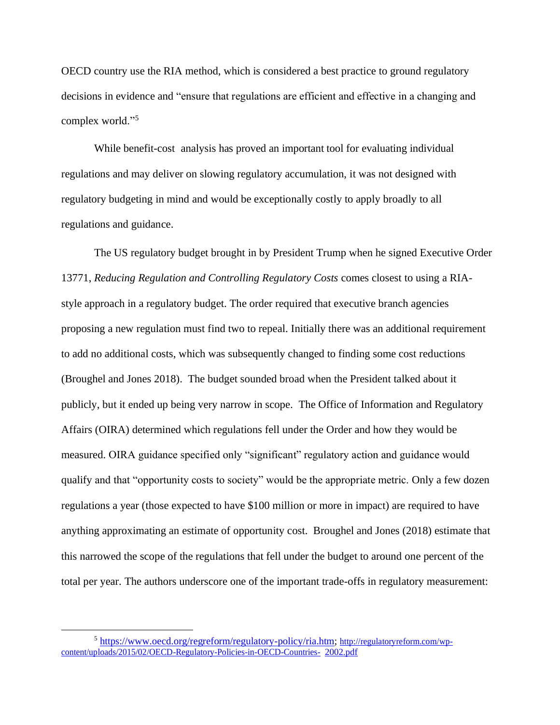OECD country use the RIA method, which is considered a best practice to ground regulatory decisions in evidence and "ensure that regulations are efficient and effective in a changing and complex world."<sup>5</sup>

While benefit-cost analysis has proved an important tool for evaluating individual regulations and may deliver on slowing regulatory accumulation, it was not designed with regulatory budgeting in mind and would be exceptionally costly to apply broadly to all regulations and guidance.

The US regulatory budget brought in by President Trump when he signed Executive Order 13771, *Reducing Regulation and Controlling Regulatory Costs* comes closest to using a RIAstyle approach in a regulatory budget. The order required that executive branch agencies proposing a new regulation must find two to repeal. Initially there was an additional requirement to add no additional costs, which was subsequently changed to finding some cost reductions (Broughel and Jones 2018). The budget sounded broad when the President talked about it publicly, but it ended up being very narrow in scope. The Office of Information and Regulatory Affairs (OIRA) determined which regulations fell under the Order and how they would be measured. OIRA guidance specified only "significant" regulatory action and guidance would qualify and that "opportunity costs to society" would be the appropriate metric. Only a few dozen regulations a year (those expected to have \$100 million or more in impact) are required to have anything approximating an estimate of opportunity cost. Broughel and Jones (2018) estimate that this narrowed the scope of the regulations that fell under the budget to around one percent of the total per year. The authors underscore one of the important trade-offs in regulatory measurement:

<sup>&</sup>lt;sup>5</sup> [https://www.oecd.org/regreform/regulatory-policy/ria.htm;](https://www.oecd.org/regreform/regulatory-policy/ria.htm) [http://regulatoryreform.com/wp](http://regulatoryreform.com/wp-content/uploads/2015/02/OECD-Regulatory-Policies-in-OECD-Countries-2002.pdf)[content/uploads/2015/02/OECD-Regulatory-Policies-in-OECD-Countries-](http://regulatoryreform.com/wp-content/uploads/2015/02/OECD-Regulatory-Policies-in-OECD-Countries-2002.pdf) [2002.pdf](http://regulatoryreform.com/wp-content/uploads/2015/02/OECD-Regulatory-Policies-in-OECD-Countries-2002.pdf)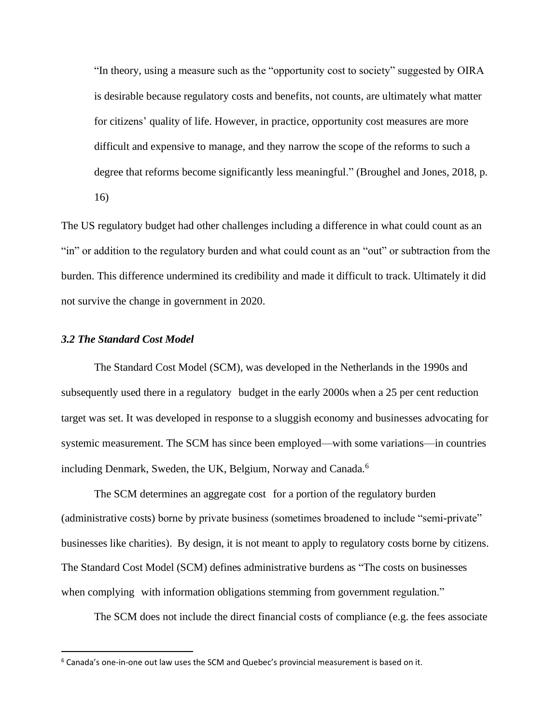"In theory, using a measure such as the "opportunity cost to society" suggested by OIRA is desirable because regulatory costs and benefits, not counts, are ultimately what matter for citizens' quality of life. However, in practice, opportunity cost measures are more difficult and expensive to manage, and they narrow the scope of the reforms to such a degree that reforms become significantly less meaningful." (Broughel and Jones, 2018, p. 16)

The US regulatory budget had other challenges including a difference in what could count as an "in" or addition to the regulatory burden and what could count as an "out" or subtraction from the burden. This difference undermined its credibility and made it difficult to track. Ultimately it did not survive the change in government in 2020.

## *3.2 The Standard Cost Model*

The Standard Cost Model (SCM), was developed in the Netherlands in the 1990s and subsequently used there in a regulatory budget in the early 2000s when a 25 per cent reduction target was set. It was developed in response to a sluggish economy and businesses advocating for systemic measurement. The SCM has since been employed—with some variations—in countries including Denmark, Sweden, the UK, Belgium, Norway and Canada.<sup>6</sup>

The SCM determines an aggregate cost for a portion of the regulatory burden (administrative costs) borne by private business (sometimes broadened to include "semi-private" businesses like charities). By design, it is not meant to apply to regulatory costs borne by citizens. The Standard Cost Model (SCM) defines administrative burdens as "The costs on businesses when complying with information obligations stemming from government regulation."

The SCM does not include the direct financial costs of compliance (e.g. the fees associate

 $6$  Canada's one-in-one out law uses the SCM and Quebec's provincial measurement is based on it.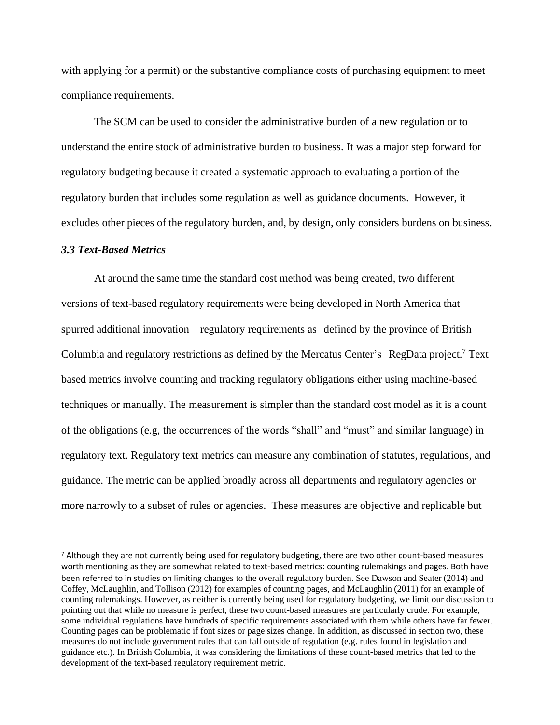with applying for a permit) or the substantive compliance costs of purchasing equipment to meet compliance requirements.

The SCM can be used to consider the administrative burden of a new regulation or to understand the entire stock of administrative burden to business. It was a major step forward for regulatory budgeting because it created a systematic approach to evaluating a portion of the regulatory burden that includes some regulation as well as guidance documents. However, it excludes other pieces of the regulatory burden, and, by design, only considers burdens on business.

#### *3.3 Text-Based Metrics*

At around the same time the standard cost method was being created, two different versions of text-based regulatory requirements were being developed in North America that spurred additional innovation—regulatory requirements as defined by the province of British Columbia and regulatory restrictions as defined by the Mercatus Center's RegData project.<sup>7</sup> Text based metrics involve counting and tracking regulatory obligations either using machine-based techniques or manually. The measurement is simpler than the standard cost model as it is a count of the obligations (e.g, the occurrences of the words "shall" and "must" and similar language) in regulatory text. Regulatory text metrics can measure any combination of statutes, regulations, and guidance. The metric can be applied broadly across all departments and regulatory agencies or more narrowly to a subset of rules or agencies. These measures are objective and replicable but

 $<sup>7</sup>$  Although they are not currently being used for regulatory budgeting, there are two other count-based measures</sup> worth mentioning as they are somewhat related to text-based metrics: counting rulemakings and pages. Both have been referred to in studies on limiting changes to the overall regulatory burden. See Dawson and Seater (2014) and Coffey, McLaughlin, and Tollison (2012) for examples of counting pages, and McLaughlin (2011) for an example of counting rulemakings. However, as neither is currently being used for regulatory budgeting, we limit our discussion to pointing out that while no measure is perfect, these two count-based measures are particularly crude. For example, some individual regulations have hundreds of specific requirements associated with them while others have far fewer. Counting pages can be problematic if font sizes or page sizes change. In addition, as discussed in section two, these measures do not include government rules that can fall outside of regulation (e.g. rules found in legislation and guidance etc.). In British Columbia, it was considering the limitations of these count-based metrics that led to the development of the text-based regulatory requirement metric.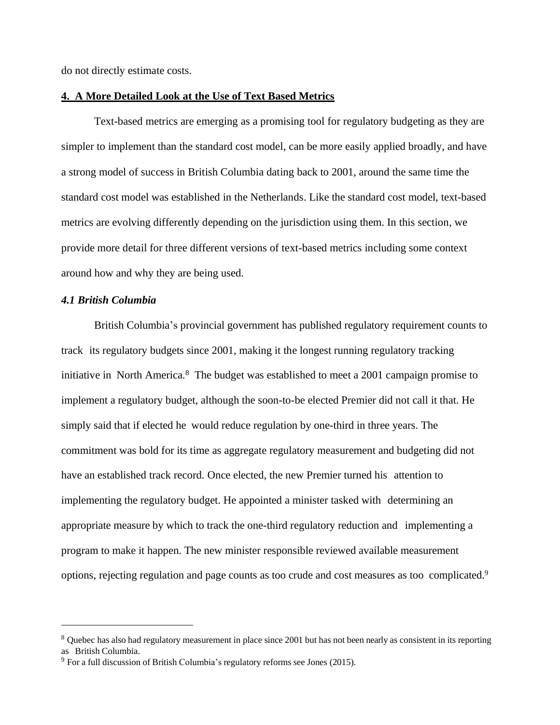do not directly estimate costs.

#### **4. A More Detailed Look at the Use of Text Based Metrics**

Text-based metrics are emerging as a promising tool for regulatory budgeting as they are simpler to implement than the standard cost model, can be more easily applied broadly, and have a strong model of success in British Columbia dating back to 2001, around the same time the standard cost model was established in the Netherlands. Like the standard cost model, text-based metrics are evolving differently depending on the jurisdiction using them. In this section, we provide more detail for three different versions of text-based metrics including some context around how and why they are being used.

# *4.1 British Columbia*

British Columbia's provincial government has published regulatory requirement counts to track its regulatory budgets since 2001, making it the longest running regulatory tracking initiative in North America.<sup>8</sup> The budget was established to meet a 2001 campaign promise to implement a regulatory budget, although the soon-to-be elected Premier did not call it that. He simply said that if elected he would reduce regulation by one-third in three years. The commitment was bold for its time as aggregate regulatory measurement and budgeting did not have an established track record. Once elected, the new Premier turned his attention to implementing the regulatory budget. He appointed a minister tasked with determining an appropriate measure by which to track the one-third regulatory reduction and implementing a program to make it happen. The new minister responsible reviewed available measurement options, rejecting regulation and page counts as too crude and cost measures as too complicated.<sup>9</sup>

<sup>&</sup>lt;sup>8</sup> Quebec has also had regulatory measurement in place since 2001 but has not been nearly as consistent in its reporting as British Columbia.

 $9$  For a full discussion of British Columbia's regulatory reforms see Jones (2015).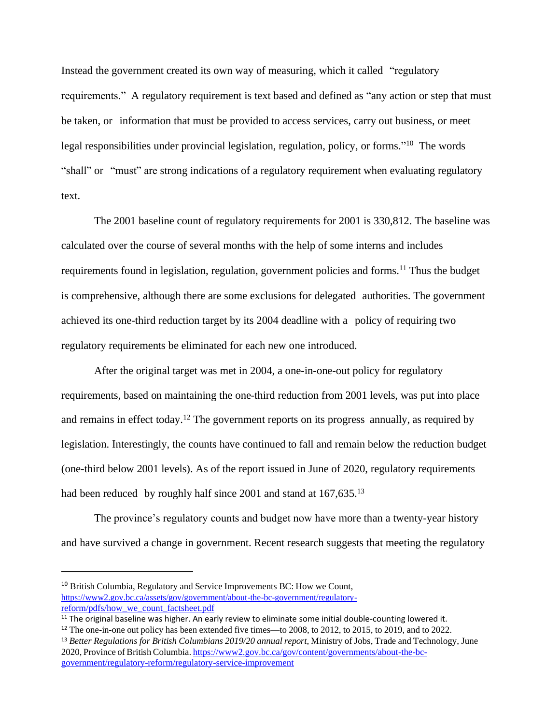Instead the government created its own way of measuring, which it called "regulatory requirements." A regulatory requirement is text based and defined as "any action or step that must be taken, or information that must be provided to access services, carry out business, or meet legal responsibilities under provincial legislation, regulation, policy, or forms."<sup>10</sup> The words "shall" or "must" are strong indications of a regulatory requirement when evaluating regulatory text.

The 2001 baseline count of regulatory requirements for 2001 is 330,812. The baseline was calculated over the course of several months with the help of some interns and includes requirements found in legislation, regulation, government policies and forms.<sup>11</sup> Thus the budget is comprehensive, although there are some exclusions for delegated authorities. The government achieved its one-third reduction target by its 2004 deadline with a policy of requiring two regulatory requirements be eliminated for each new one introduced.

After the original target was met in 2004, a one-in-one-out policy for regulatory requirements, based on maintaining the one-third reduction from 2001 levels, was put into place and remains in effect today.<sup>12</sup> The government reports on its progress annually, as required by legislation. Interestingly, the counts have continued to fall and remain below the reduction budget (one-third below 2001 levels). As of the report issued in June of 2020, regulatory requirements had been reduced by roughly half since 2001 and stand at 167,635.<sup>13</sup>

The province's regulatory counts and budget now have more than a twenty-year history and have survived a change in government. Recent research suggests that meeting the regulatory

<sup>13</sup> *Better Regulations for British Columbians 2019/20 annual report*, Ministry of Jobs, Trade and Technology, June 2020,Province of British Columbia. [https://www2.gov.bc.ca/gov/content/governments/about-the-bc](https://www2.gov.bc.ca/gov/content/governments/about-the-bc-government/regulatory-reform/regulatory-service-improvement)[government/regulatory-reform/regulatory-service-improvement](https://www2.gov.bc.ca/gov/content/governments/about-the-bc-government/regulatory-reform/regulatory-service-improvement)

<sup>&</sup>lt;sup>10</sup> British Columbia, Regulatory and Service Improvements BC: How we Count, [https://www2.gov.bc.ca/assets/gov/government/about-the-bc-government/regulatory](https://www2.gov.bc.ca/assets/gov/government/about-the-bc-government/regulatory-reform/pdfs/how_we_count_factsheet.pdf)[reform/pdfs/how\\_we\\_count\\_factsheet.pdf](https://www2.gov.bc.ca/assets/gov/government/about-the-bc-government/regulatory-reform/pdfs/how_we_count_factsheet.pdf)

<sup>&</sup>lt;sup>11</sup> The original baseline was higher. An early review to eliminate some initial double-counting lowered it.

<sup>&</sup>lt;sup>12</sup> The one-in-one out policy has been extended five times—to 2008, to 2012, to 2015, to 2019, and to 2022.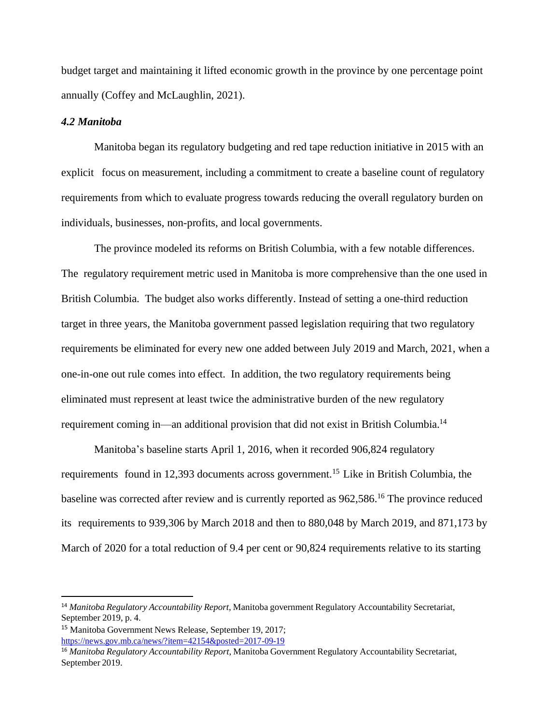budget target and maintaining it lifted economic growth in the province by one percentage point annually (Coffey and McLaughlin, 2021).

#### *4.2 Manitoba*

Manitoba began its regulatory budgeting and red tape reduction initiative in 2015 with an explicit focus on measurement, including a commitment to create a baseline count of regulatory requirements from which to evaluate progress towards reducing the overall regulatory burden on individuals, businesses, non-profits, and local governments.

The province modeled its reforms on British Columbia, with a few notable differences. The regulatory requirement metric used in Manitoba is more comprehensive than the one used in British Columbia. The budget also works differently. Instead of setting a one-third reduction target in three years, the Manitoba government passed legislation requiring that two regulatory requirements be eliminated for every new one added between July 2019 and March, 2021, when a one-in-one out rule comes into effect. In addition, the two regulatory requirements being eliminated must represent at least twice the administrative burden of the new regulatory requirement coming in—an additional provision that did not exist in British Columbia.<sup>14</sup>

Manitoba's baseline starts April 1, 2016, when it recorded 906,824 regulatory requirements found in 12,393 documents across government.<sup>15</sup> Like in British Columbia, the baseline was corrected after review and is currently reported as 962,586. <sup>16</sup> The province reduced its requirements to 939,306 by March 2018 and then to 880,048 by March 2019, and 871,173 by March of 2020 for a total reduction of 9.4 per cent or 90,824 requirements relative to its starting

<sup>&</sup>lt;sup>14</sup> Manitoba Regulatory *Accountability Report*, Manitoba government Regulatory Accountability Secretariat, September 2019, p. 4.

<sup>15</sup> Manitoba Government News Release, September 19, 2017; <https://news.gov.mb.ca/news/?item=42154&posted=2017-09-19>

<sup>&</sup>lt;sup>16</sup> Manitoba Regulatory *Accountability Report*, Manitoba Government Regulatory Accountability Secretariat, September 2019.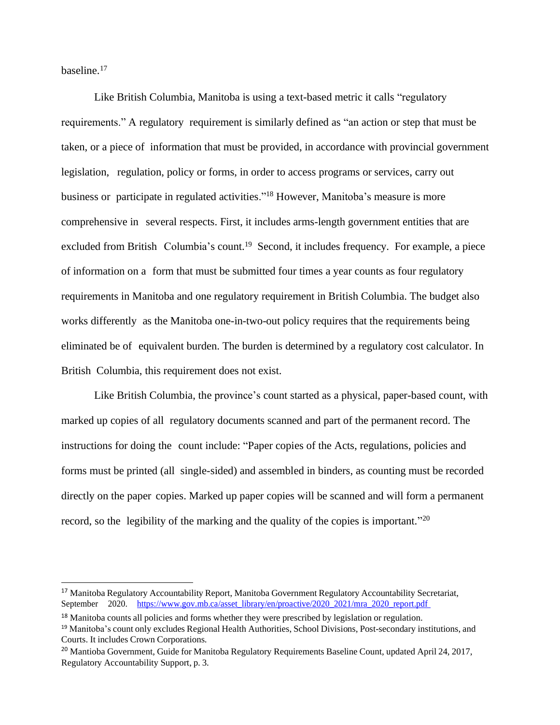baseline. 17

Like British Columbia, Manitoba is using a text-based metric it calls "regulatory requirements." A regulatory requirement is similarly defined as "an action or step that must be taken, or a piece of information that must be provided, in accordance with provincial government legislation, regulation, policy or forms, in order to access programs or services, carry out business or participate in regulated activities."<sup>18</sup> However, Manitoba's measure is more comprehensive in several respects. First, it includes arms-length government entities that are excluded from British Columbia's count.<sup>19</sup> Second, it includes frequency. For example, a piece of information on a form that must be submitted four times a year counts as four regulatory requirements in Manitoba and one regulatory requirement in British Columbia. The budget also works differently as the Manitoba one-in-two-out policy requires that the requirements being eliminated be of equivalent burden. The burden is determined by a regulatory cost calculator. In British Columbia, this requirement does not exist.

Like British Columbia, the province's count started as a physical, paper-based count, with marked up copies of all regulatory documents scanned and part of the permanent record. The instructions for doing the count include: "Paper copies of the Acts, regulations, policies and forms must be printed (all single-sided) and assembled in binders, as counting must be recorded directly on the paper copies. Marked up paper copies will be scanned and will form a permanent record, so the legibility of the marking and the quality of the copies is important."<sup>20</sup>

<sup>&</sup>lt;sup>17</sup> Manitoba Regulatory Accountability Report, Manitoba Government Regulatory Accountability Secretariat, September 2020. [https://www.gov.mb.ca/asset\\_library/en/proactive/2020\\_2021/mra\\_2020\\_report.pdf](https://www.gov.mb.ca/asset_library/en/proactive/2020_2021/mra_2020_report.pdf)

 $18$  Manitoba counts all policies and forms whether they were prescribed by legislation or regulation.

<sup>&</sup>lt;sup>19</sup> Manitoba's count only excludes Regional Health Authorities, School Divisions, Post-secondary institutions, and Courts. It includes Crown Corporations.

<sup>&</sup>lt;sup>20</sup> Mantioba Government, Guide for Manitoba Regulatory Requirements Baseline Count, updated April 24, 2017, Regulatory Accountability Support, p. 3.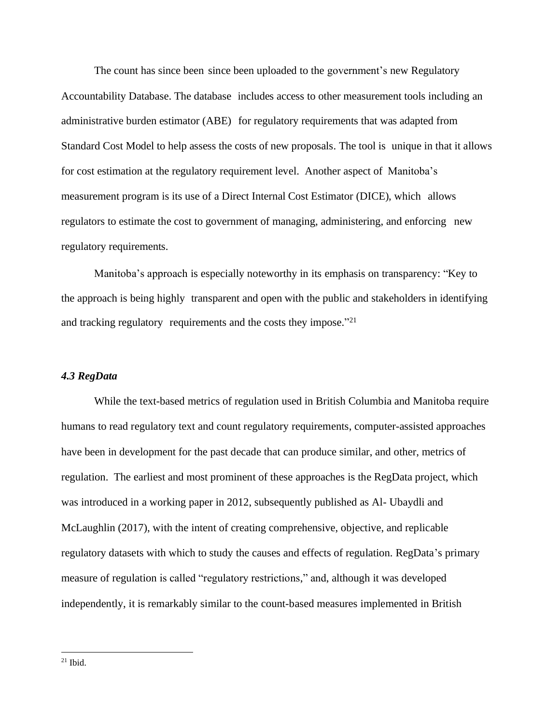The count has since been since been uploaded to the government's new Regulatory Accountability Database. The database includes access to other measurement tools including an administrative burden estimator (ABE) for regulatory requirements that was adapted from Standard Cost Model to help assess the costs of new proposals. The tool is unique in that it allows for cost estimation at the regulatory requirement level. Another aspect of Manitoba's measurement program is its use of a Direct Internal Cost Estimator (DICE), which allows regulators to estimate the cost to government of managing, administering, and enforcing new regulatory requirements.

Manitoba's approach is especially noteworthy in its emphasis on transparency: "Key to the approach is being highly transparent and open with the public and stakeholders in identifying and tracking regulatory requirements and the costs they impose."<sup>21</sup>

## *4.3 RegData*

While the text-based metrics of regulation used in British Columbia and Manitoba require humans to read regulatory text and count regulatory requirements, computer-assisted approaches have been in development for the past decade that can produce similar, and other, metrics of regulation. The earliest and most prominent of these approaches is the RegData project, which was introduced in a working paper in 2012, subsequently published as Al- Ubaydli and McLaughlin (2017), with the intent of creating comprehensive, objective, and replicable regulatory datasets with which to study the causes and effects of regulation. RegData's primary measure of regulation is called "regulatory restrictions," and, although it was developed independently, it is remarkably similar to the count-based measures implemented in British

 $21$  Ibid.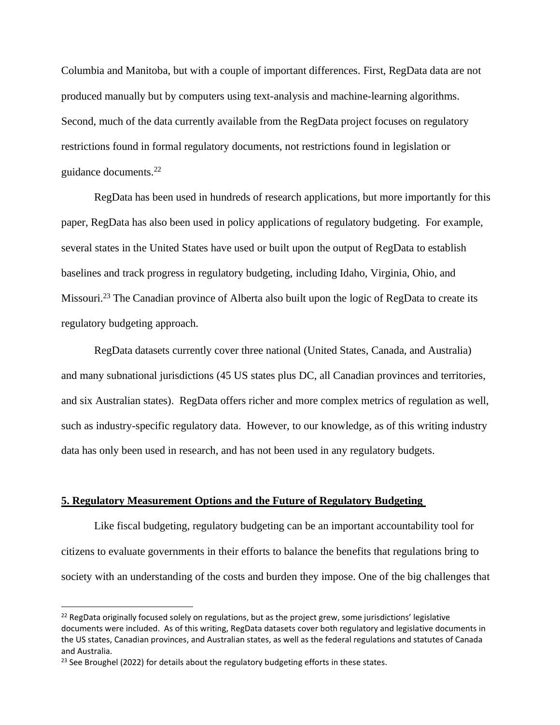Columbia and Manitoba, but with a couple of important differences. First, RegData data are not produced manually but by computers using text-analysis and machine-learning algorithms. Second, much of the data currently available from the RegData project focuses on regulatory restrictions found in formal regulatory documents, not restrictions found in legislation or guidance documents.<sup>22</sup>

RegData has been used in hundreds of research applications, but more importantly for this paper, RegData has also been used in policy applications of regulatory budgeting. For example, several states in the United States have used or built upon the output of RegData to establish baselines and track progress in regulatory budgeting, including Idaho, Virginia, Ohio, and Missouri.<sup>23</sup> The Canadian province of Alberta also built upon the logic of RegData to create its regulatory budgeting approach.

RegData datasets currently cover three national (United States, Canada, and Australia) and many subnational jurisdictions (45 US states plus DC, all Canadian provinces and territories, and six Australian states). RegData offers richer and more complex metrics of regulation as well, such as industry-specific regulatory data. However, to our knowledge, as of this writing industry data has only been used in research, and has not been used in any regulatory budgets.

#### **5. Regulatory Measurement Options and the Future of Regulatory Budgeting**

Like fiscal budgeting, regulatory budgeting can be an important accountability tool for citizens to evaluate governments in their efforts to balance the benefits that regulations bring to society with an understanding of the costs and burden they impose. One of the big challenges that

 $22$  RegData originally focused solely on regulations, but as the project grew, some jurisdictions' legislative documents were included. As of this writing, RegData datasets cover both regulatory and legislative documents in the US states, Canadian provinces, and Australian states, as well as the federal regulations and statutes of Canada and Australia.

 $23$  See Broughel (2022) for details about the regulatory budgeting efforts in these states.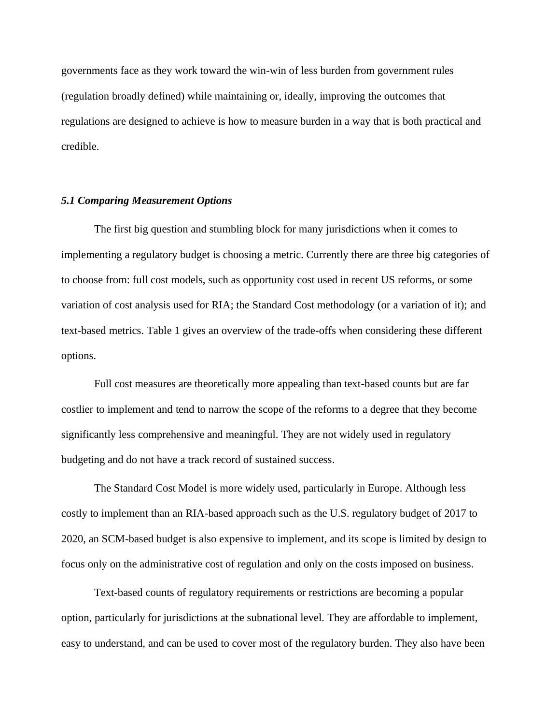governments face as they work toward the win-win of less burden from government rules (regulation broadly defined) while maintaining or, ideally, improving the outcomes that regulations are designed to achieve is how to measure burden in a way that is both practical and credible.

#### *5.1 Comparing Measurement Options*

The first big question and stumbling block for many jurisdictions when it comes to implementing a regulatory budget is choosing a metric. Currently there are three big categories of to choose from: full cost models, such as opportunity cost used in recent US reforms, or some variation of cost analysis used for RIA; the Standard Cost methodology (or a variation of it); and text-based metrics. Table 1 gives an overview of the trade-offs when considering these different options.

Full cost measures are theoretically more appealing than text-based counts but are far costlier to implement and tend to narrow the scope of the reforms to a degree that they become significantly less comprehensive and meaningful. They are not widely used in regulatory budgeting and do not have a track record of sustained success.

The Standard Cost Model is more widely used, particularly in Europe. Although less costly to implement than an RIA-based approach such as the U.S. regulatory budget of 2017 to 2020, an SCM-based budget is also expensive to implement, and its scope is limited by design to focus only on the administrative cost of regulation and only on the costs imposed on business.

Text-based counts of regulatory requirements or restrictions are becoming a popular option, particularly for jurisdictions at the subnational level. They are affordable to implement, easy to understand, and can be used to cover most of the regulatory burden. They also have been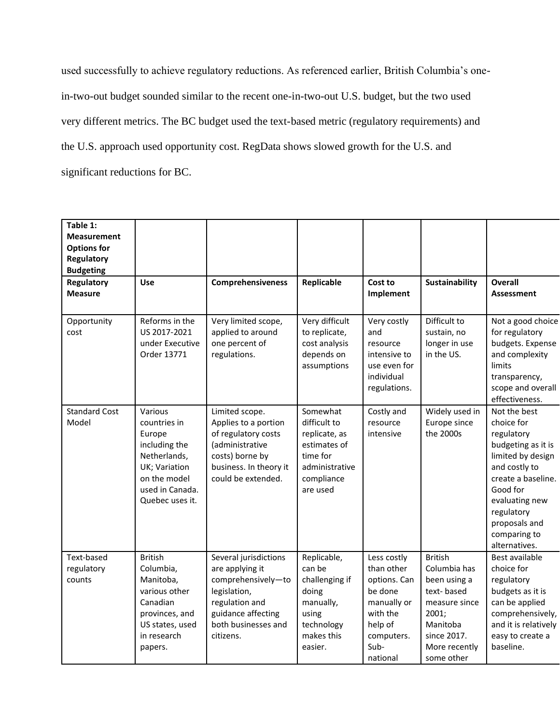used successfully to achieve regulatory reductions. As referenced earlier, British Columbia's onein-two-out budget sounded similar to the recent one-in-two-out U.S. budget, but the two used very different metrics. The BC budget used the text-based metric (regulatory requirements) and the U.S. approach used opportunity cost. RegData shows slowed growth for the U.S. and significant reductions for BC.

| Table 1:<br><b>Measurement</b><br><b>Options for</b><br>Regulatory<br><b>Budgeting</b> |                                                                                                                                           |                                                                                                                                                            |                                                                                                                   |                                                                                                                              |                                                                                                                                                  |                                                                                                                                                                                                                          |
|----------------------------------------------------------------------------------------|-------------------------------------------------------------------------------------------------------------------------------------------|------------------------------------------------------------------------------------------------------------------------------------------------------------|-------------------------------------------------------------------------------------------------------------------|------------------------------------------------------------------------------------------------------------------------------|--------------------------------------------------------------------------------------------------------------------------------------------------|--------------------------------------------------------------------------------------------------------------------------------------------------------------------------------------------------------------------------|
| Regulatory<br><b>Measure</b>                                                           | Use                                                                                                                                       | <b>Comprehensiveness</b>                                                                                                                                   | Replicable                                                                                                        | Cost to<br>Implement                                                                                                         | Sustainability                                                                                                                                   | <b>Overall</b><br><b>Assessment</b>                                                                                                                                                                                      |
| Opportunity<br>cost                                                                    | Reforms in the<br>US 2017-2021<br>under Executive<br>Order 13771                                                                          | Very limited scope,<br>applied to around<br>one percent of<br>regulations.                                                                                 | Very difficult<br>to replicate,<br>cost analysis<br>depends on<br>assumptions                                     | Very costly<br>and<br>resource<br>intensive to<br>use even for<br>individual<br>regulations.                                 | Difficult to<br>sustain, no<br>longer in use<br>in the US.                                                                                       | Not a good choice<br>for regulatory<br>budgets. Expense<br>and complexity<br>limits<br>transparency,<br>scope and overall<br>effectiveness.                                                                              |
| <b>Standard Cost</b><br>Model                                                          | Various<br>countries in<br>Europe<br>including the<br>Netherlands,<br>UK; Variation<br>on the model<br>used in Canada.<br>Quebec uses it. | Limited scope.<br>Applies to a portion<br>of regulatory costs<br>(administrative<br>costs) borne by<br>business. In theory it<br>could be extended.        | Somewhat<br>difficult to<br>replicate, as<br>estimates of<br>time for<br>administrative<br>compliance<br>are used | Costly and<br>resource<br>intensive                                                                                          | Widely used in<br>Europe since<br>the 2000s                                                                                                      | Not the best<br>choice for<br>regulatory<br>budgeting as it is<br>limited by design<br>and costly to<br>create a baseline.<br>Good for<br>evaluating new<br>regulatory<br>proposals and<br>comparing to<br>alternatives. |
| Text-based<br>regulatory<br>counts                                                     | <b>British</b><br>Columbia,<br>Manitoba,<br>various other<br>Canadian<br>provinces, and<br>US states, used<br>in research<br>papers.      | Several jurisdictions<br>are applying it<br>comprehensively-to<br>legislation,<br>regulation and<br>guidance affecting<br>both businesses and<br>citizens. | Replicable,<br>can be<br>challenging if<br>doing<br>manually,<br>using<br>technology<br>makes this<br>easier.     | Less costly<br>than other<br>options. Can<br>be done<br>manually or<br>with the<br>help of<br>computers.<br>Sub-<br>national | <b>British</b><br>Columbia has<br>been using a<br>text-based<br>measure since<br>2001;<br>Manitoba<br>since 2017.<br>More recently<br>some other | Best available<br>choice for<br>regulatory<br>budgets as it is<br>can be applied<br>comprehensively,<br>and it is relatively<br>easy to create a<br>baseline.                                                            |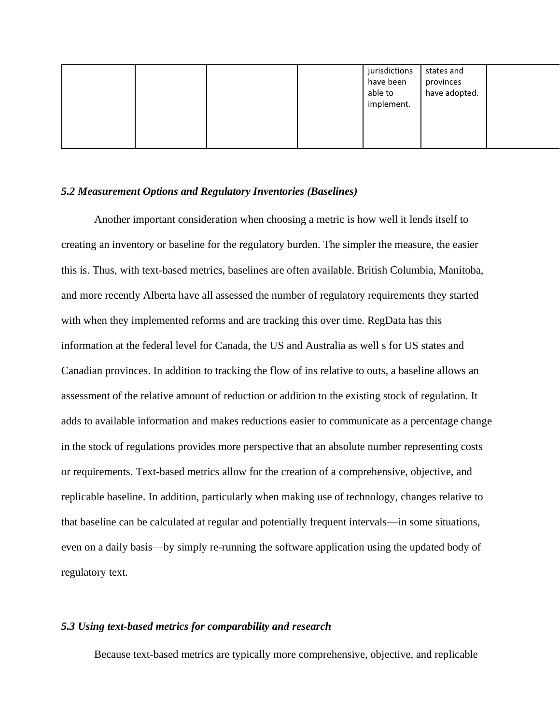|  | jurisdictions<br>have been<br>able to<br>implement. | states and<br>provinces<br>have adopted. |  |
|--|-----------------------------------------------------|------------------------------------------|--|
|--|-----------------------------------------------------|------------------------------------------|--|

#### *5.2 Measurement Options and Regulatory Inventories (Baselines)*

Another important consideration when choosing a metric is how well it lends itself to creating an inventory or baseline for the regulatory burden. The simpler the measure, the easier this is. Thus, with text-based metrics, baselines are often available. British Columbia, Manitoba, and more recently Alberta have all assessed the number of regulatory requirements they started with when they implemented reforms and are tracking this over time. RegData has this information at the federal level for Canada, the US and Australia as well s for US states and Canadian provinces. In addition to tracking the flow of ins relative to outs, a baseline allows an assessment of the relative amount of reduction or addition to the existing stock of regulation. It adds to available information and makes reductions easier to communicate as a percentage change in the stock of regulations provides more perspective that an absolute number representing costs or requirements. Text-based metrics allow for the creation of a comprehensive, objective, and replicable baseline. In addition, particularly when making use of technology, changes relative to that baseline can be calculated at regular and potentially frequent intervals—in some situations, even on a daily basis—by simply re-running the software application using the updated body of regulatory text.

## *5.3 Using text-based metrics for comparability and research*

Because text-based metrics are typically more comprehensive, objective, and replicable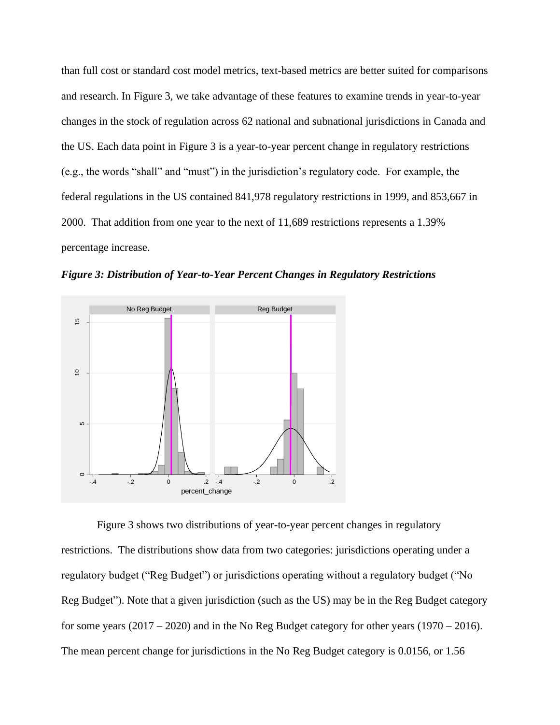than full cost or standard cost model metrics, text-based metrics are better suited for comparisons and research. In Figure 3, we take advantage of these features to examine trends in year-to-year changes in the stock of regulation across 62 national and subnational jurisdictions in Canada and the US. Each data point in Figure 3 is a year-to-year percent change in regulatory restrictions (e.g., the words "shall" and "must") in the jurisdiction's regulatory code. For example, the federal regulations in the US contained 841,978 regulatory restrictions in 1999, and 853,667 in 2000. That addition from one year to the next of 11,689 restrictions represents a 1.39% percentage increase.



*Figure 3: Distribution of Year-to-Year Percent Changes in Regulatory Restrictions*

Figure 3 shows two distributions of year-to-year percent changes in regulatory restrictions. The distributions show data from two categories: jurisdictions operating under a regulatory budget ("Reg Budget") or jurisdictions operating without a regulatory budget ("No Reg Budget"). Note that a given jurisdiction (such as the US) may be in the Reg Budget category for some years  $(2017 – 2020)$  and in the No Reg Budget category for other years  $(1970 – 2016)$ . The mean percent change for jurisdictions in the No Reg Budget category is 0.0156, or 1.56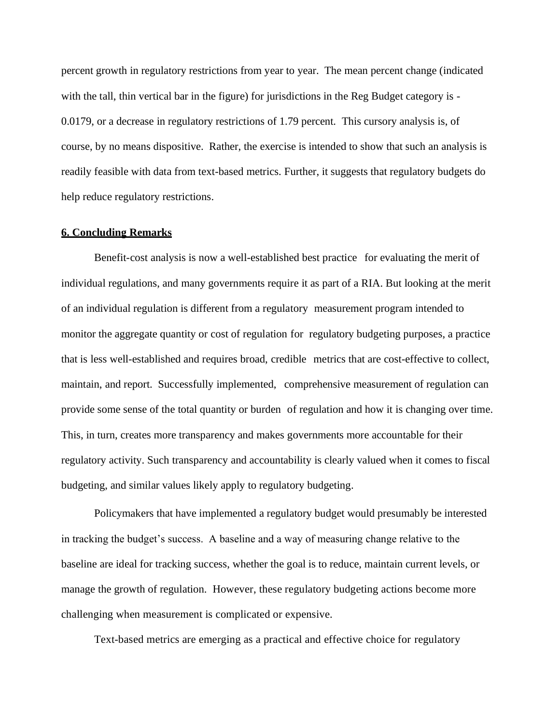percent growth in regulatory restrictions from year to year. The mean percent change (indicated with the tall, thin vertical bar in the figure) for jurisdictions in the Reg Budget category is - 0.0179, or a decrease in regulatory restrictions of 1.79 percent. This cursory analysis is, of course, by no means dispositive. Rather, the exercise is intended to show that such an analysis is readily feasible with data from text-based metrics. Further, it suggests that regulatory budgets do help reduce regulatory restrictions.

## **6. Concluding Remarks**

Benefit-cost analysis is now a well-established best practice for evaluating the merit of individual regulations, and many governments require it as part of a RIA. But looking at the merit of an individual regulation is different from a regulatory measurement program intended to monitor the aggregate quantity or cost of regulation for regulatory budgeting purposes, a practice that is less well-established and requires broad, credible metrics that are cost-effective to collect, maintain, and report. Successfully implemented, comprehensive measurement of regulation can provide some sense of the total quantity or burden of regulation and how it is changing over time. This, in turn, creates more transparency and makes governments more accountable for their regulatory activity. Such transparency and accountability is clearly valued when it comes to fiscal budgeting, and similar values likely apply to regulatory budgeting.

Policymakers that have implemented a regulatory budget would presumably be interested in tracking the budget's success. A baseline and a way of measuring change relative to the baseline are ideal for tracking success, whether the goal is to reduce, maintain current levels, or manage the growth of regulation. However, these regulatory budgeting actions become more challenging when measurement is complicated or expensive.

Text-based metrics are emerging as a practical and effective choice for regulatory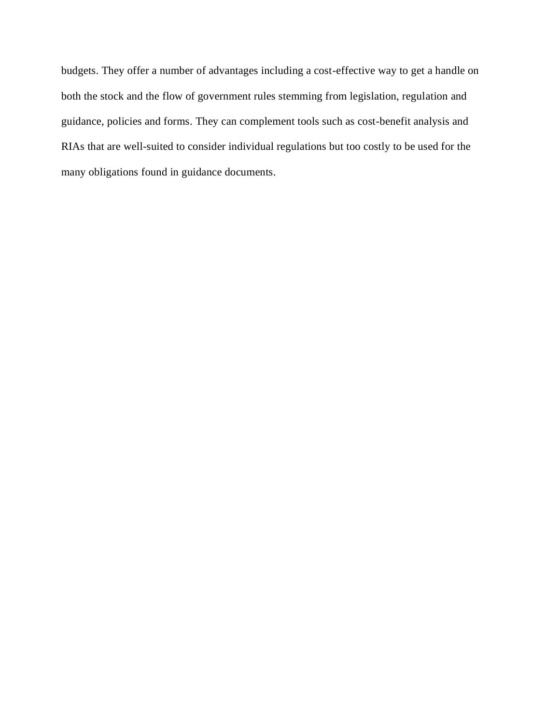budgets. They offer a number of advantages including a cost-effective way to get a handle on both the stock and the flow of government rules stemming from legislation, regulation and guidance, policies and forms. They can complement tools such as cost-benefit analysis and RIAs that are well-suited to consider individual regulations but too costly to be used for the many obligations found in guidance documents.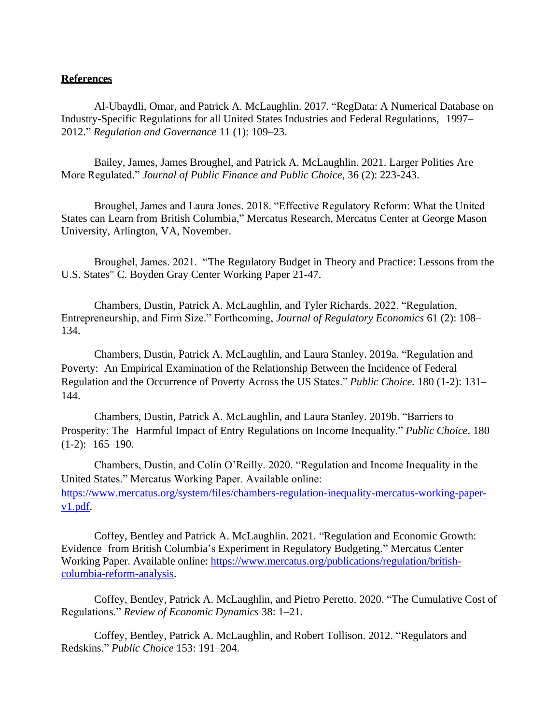## **References**

Al-Ubaydli, Omar, and Patrick A. McLaughlin. 2017. "RegData: A Numerical Database on Industry-Specific Regulations for all United States Industries and Federal Regulations, 1997– 2012." *Regulation and Governance* 11 (1): 109–23.

Bailey, James, James Broughel, and Patrick A. McLaughlin. 2021. Larger Polities Are More Regulated." *Journal of Public Finance and Public Choice*, 36 (2): 223-243.

Broughel, James and Laura Jones. 2018. "Effective Regulatory Reform: What the United States can Learn from British Columbia," Mercatus Research, Mercatus Center at George Mason University, Arlington, VA, November.

Broughel, James. 2021. "The Regulatory Budget in Theory and Practice: Lessons from the U.S. States" C. Boyden Gray Center Working Paper 21-47.

Chambers, Dustin, Patrick A. McLaughlin, and Tyler Richards. 2022. "Regulation, Entrepreneurship, and Firm Size." Forthcoming, *Journal of Regulatory Economics* 61 (2): 108– 134.

Chambers, Dustin, Patrick A. McLaughlin, and Laura Stanley. 2019a. "Regulation and Poverty: An Empirical Examination of the Relationship Between the Incidence of Federal Regulation and the Occurrence of Poverty Across the US States." *Public Choice.* 180 (1-2): 131– 144.

Chambers, Dustin, Patrick A. McLaughlin, and Laura Stanley. 2019b. "Barriers to Prosperity: The Harmful Impact of Entry Regulations on Income Inequality." *Public Choice*. 180  $(1-2): 165-190.$ 

Chambers, Dustin, and Colin O'Reilly. 2020. "Regulation and Income Inequality in the United States." Mercatus Working Paper. Available online: [https://www.mercatus.org/system/files/chambers-regulation-inequality-mercatus-working-paper](https://www.mercatus.org/system/files/chambers-regulation-inequality-mercatus-working-paper-v1.pdf)[v1.pdf.](https://www.mercatus.org/system/files/chambers-regulation-inequality-mercatus-working-paper-v1.pdf)

Coffey, Bentley and Patrick A. McLaughlin. 2021. "Regulation and Economic Growth: Evidence from British Columbia's Experiment in Regulatory Budgeting." Mercatus Center Working Paper. Available online: [https://www.mercatus.org/publications/regulation/british](https://www.mercatus.org/publications/regulation/british-columbia-reform-analysis)[columbia-reform-analysis.](https://www.mercatus.org/publications/regulation/british-columbia-reform-analysis)

Coffey, Bentley, Patrick A. McLaughlin, and Pietro Peretto. 2020. "The Cumulative Cost of Regulations." *Review of Economic Dynamics* 38: 1–21*.*

Coffey, Bentley, Patrick A. McLaughlin, and Robert Tollison. 2012. "Regulators and Redskins." *Public Choice* 153: 191–204.